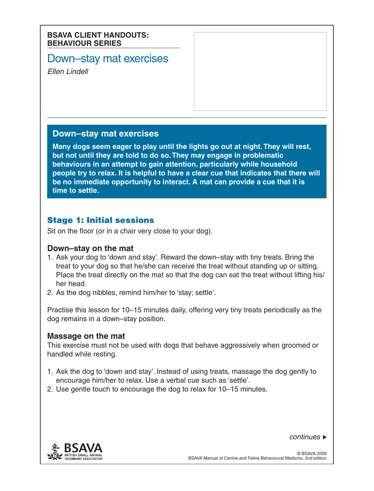#### **BSAVA CLIENT HANDOUTS: BEHAVIOUR SERIES**

# Down–stay mat exercises

*Ellen Lindell*

### **Down–stay mat exercises**

**Many dogs seem eager to play until the lights go out at night. They will rest, but not until they are told to do so. They may engage in problematic behaviours in an attempt to gain attention, particularly while household people try to relax. It is helpful to have a clear cue that indicates that there will be no immediate opportunity to interact. A mat can provide a cue that it is time to settle.**

## Stage 1: Initial sessions

Sit on the floor (or in a chair very close to your dog).

## **Down–stay on the mat**

- 1. Ask your dog to 'down and stay'. Reward the down–stay with tiny treats. Bring the treat to your dog so that he/she can receive the treat without standing up or sitting. Place the treat directly on the mat so that the dog can eat the treat without lifting his/ her head.
- 2. As the dog nibbles, remind him/her to 'stay; settle'.

Practise this lesson for 10–15 minutes daily, offering very tiny treats periodically as the dog remains in a down–stay position.

#### **Massage on the mat**

This exercise must not be used with dogs that behave aggressively when groomed or handled while resting.

- 1. Ask the dog to 'down and stay'. Instead of using treats, massage the dog gently to encourage him/her to relax. Use a verbal cue such as 'settle'.
- 2. Use gentle touch to encourage the dog to relax for 10–15 minutes.



*continues*